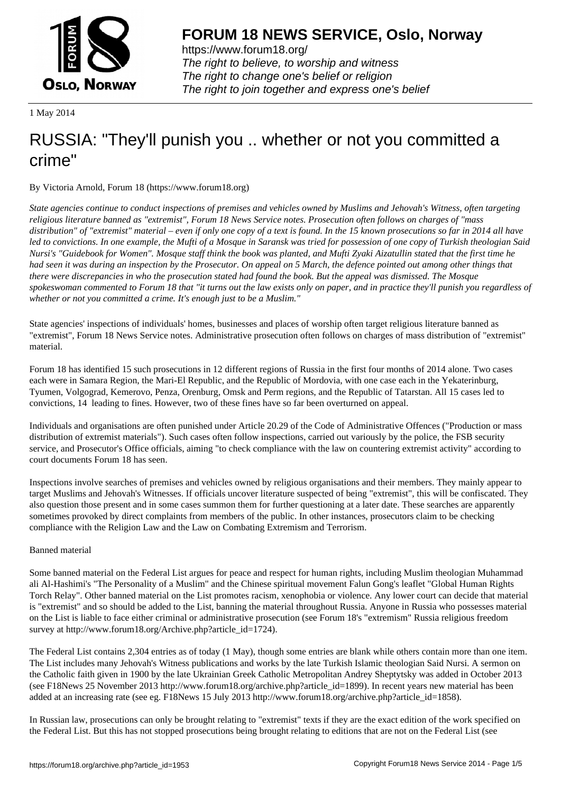

https://www.forum18.org/ The right to believe, to worship and witness The right to change one's belief or religion [The right to join together a](https://www.forum18.org/)nd express one's belief

1 May 2014

## [RUSSIA: "They](https://www.forum18.org)'ll punish you .. whether or not you committed a crime"

By Victoria Arnold, Forum 18 (https://www.forum18.org)

*State agencies continue to conduct inspections of premises and vehicles owned by Muslims and Jehovah's Witness, often targeting religious literature banned as "extremist", Forum 18 News Service notes. Prosecution often follows on charges of "mass distribution" of "extremist" material – even if only one copy of a text is found. In the 15 known prosecutions so far in 2014 all have led to convictions. In one example, the Mufti of a Mosque in Saransk was tried for possession of one copy of Turkish theologian Said Nursi's "Guidebook for Women". Mosque staff think the book was planted, and Mufti Zyaki Aizatullin stated that the first time he had seen it was during an inspection by the Prosecutor. On appeal on 5 March, the defence pointed out among other things that there were discrepancies in who the prosecution stated had found the book. But the appeal was dismissed. The Mosque spokeswoman commented to Forum 18 that "it turns out the law exists only on paper, and in practice they'll punish you regardless of whether or not you committed a crime. It's enough just to be a Muslim."*

State agencies' inspections of individuals' homes, businesses and places of worship often target religious literature banned as "extremist", Forum 18 News Service notes. Administrative prosecution often follows on charges of mass distribution of "extremist" material.

Forum 18 has identified 15 such prosecutions in 12 different regions of Russia in the first four months of 2014 alone. Two cases each were in Samara Region, the Mari-El Republic, and the Republic of Mordovia, with one case each in the Yekaterinburg, Tyumen, Volgograd, Kemerovo, Penza, Orenburg, Omsk and Perm regions, and the Republic of Tatarstan. All 15 cases led to convictions, 14 leading to fines. However, two of these fines have so far been overturned on appeal.

Individuals and organisations are often punished under Article 20.29 of the Code of Administrative Offences ("Production or mass distribution of extremist materials"). Such cases often follow inspections, carried out variously by the police, the FSB security service, and Prosecutor's Office officials, aiming "to check compliance with the law on countering extremist activity" according to court documents Forum 18 has seen.

Inspections involve searches of premises and vehicles owned by religious organisations and their members. They mainly appear to target Muslims and Jehovah's Witnesses. If officials uncover literature suspected of being "extremist", this will be confiscated. They also question those present and in some cases summon them for further questioning at a later date. These searches are apparently sometimes provoked by direct complaints from members of the public. In other instances, prosecutors claim to be checking compliance with the Religion Law and the Law on Combating Extremism and Terrorism.

## Banned material

Some banned material on the Federal List argues for peace and respect for human rights, including Muslim theologian Muhammad ali Al-Hashimi's "The Personality of a Muslim" and the Chinese spiritual movement Falun Gong's leaflet "Global Human Rights Torch Relay". Other banned material on the List promotes racism, xenophobia or violence. Any lower court can decide that material is "extremist" and so should be added to the List, banning the material throughout Russia. Anyone in Russia who possesses material on the List is liable to face either criminal or administrative prosecution (see Forum 18's "extremism" Russia religious freedom survey at http://www.forum18.org/Archive.php?article\_id=1724).

The Federal List contains 2,304 entries as of today (1 May), though some entries are blank while others contain more than one item. The List includes many Jehovah's Witness publications and works by the late Turkish Islamic theologian Said Nursi. A sermon on the Catholic faith given in 1900 by the late Ukrainian Greek Catholic Metropolitan Andrey Sheptytsky was added in October 2013 (see F18News 25 November 2013 http://www.forum18.org/archive.php?article\_id=1899). In recent years new material has been added at an increasing rate (see eg. F18News 15 July 2013 http://www.forum18.org/archive.php?article\_id=1858).

In Russian law, prosecutions can only be brought relating to "extremist" texts if they are the exact edition of the work specified on the Federal List. But this has not stopped prosecutions being brought relating to editions that are not on the Federal List (see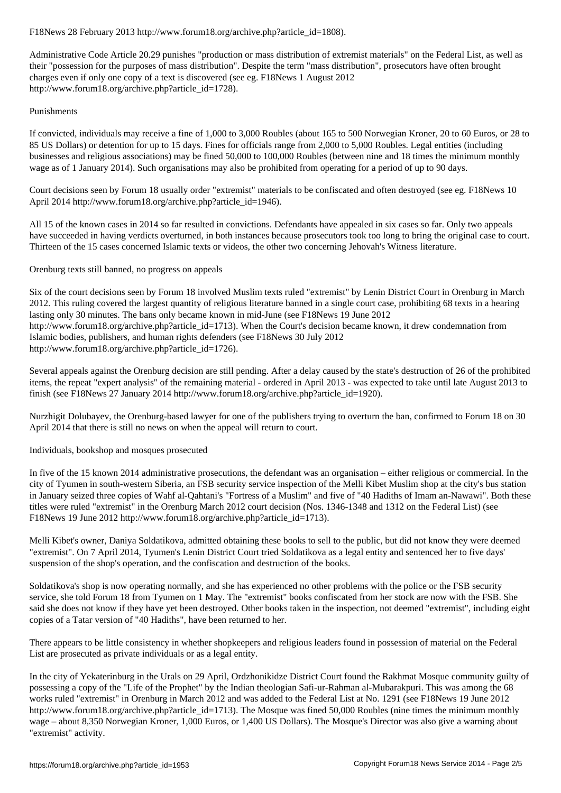Administrative Code Article 20.29 punishes "production or mass distribution of extremist materials" on the Federal List, as well as their "possession for the purposes of mass distribution". Despite the term "mass distribution", prosecutors have often brought charges even if only one copy of a text is discovered (see eg. F18News 1 August 2012 http://www.forum18.org/archive.php?article\_id=1728).

## Punishments

If convicted, individuals may receive a fine of 1,000 to 3,000 Roubles (about 165 to 500 Norwegian Kroner, 20 to 60 Euros, or 28 to 85 US Dollars) or detention for up to 15 days. Fines for officials range from 2,000 to 5,000 Roubles. Legal entities (including businesses and religious associations) may be fined 50,000 to 100,000 Roubles (between nine and 18 times the minimum monthly wage as of 1 January 2014). Such organisations may also be prohibited from operating for a period of up to 90 days.

Court decisions seen by Forum 18 usually order "extremist" materials to be confiscated and often destroyed (see eg. F18News 10 April 2014 http://www.forum18.org/archive.php?article\_id=1946).

All 15 of the known cases in 2014 so far resulted in convictions. Defendants have appealed in six cases so far. Only two appeals have succeeded in having verdicts overturned, in both instances because prosecutors took too long to bring the original case to court. Thirteen of the 15 cases concerned Islamic texts or videos, the other two concerning Jehovah's Witness literature.

Orenburg texts still banned, no progress on appeals

Six of the court decisions seen by Forum 18 involved Muslim texts ruled "extremist" by Lenin District Court in Orenburg in March 2012. This ruling covered the largest quantity of religious literature banned in a single court case, prohibiting 68 texts in a hearing lasting only 30 minutes. The bans only became known in mid-June (see F18News 19 June 2012 http://www.forum18.org/archive.php?article\_id=1713). When the Court's decision became known, it drew condemnation from Islamic bodies, publishers, and human rights defenders (see F18News 30 July 2012 http://www.forum18.org/archive.php?article\_id=1726).

Several appeals against the Orenburg decision are still pending. After a delay caused by the state's destruction of 26 of the prohibited items, the repeat "expert analysis" of the remaining material - ordered in April 2013 - was expected to take until late August 2013 to finish (see F18News 27 January 2014 http://www.forum18.org/archive.php?article\_id=1920).

Nurzhigit Dolubayev, the Orenburg-based lawyer for one of the publishers trying to overturn the ban, confirmed to Forum 18 on 30 April 2014 that there is still no news on when the appeal will return to court.

## Individuals, bookshop and mosques prosecuted

In five of the 15 known 2014 administrative prosecutions, the defendant was an organisation – either religious or commercial. In the city of Tyumen in south-western Siberia, an FSB security service inspection of the Melli Kibet Muslim shop at the city's bus station in January seized three copies of Wahf al-Qahtani's "Fortress of a Muslim" and five of "40 Hadiths of Imam an-Nawawi". Both these titles were ruled "extremist" in the Orenburg March 2012 court decision (Nos. 1346-1348 and 1312 on the Federal List) (see F18News 19 June 2012 http://www.forum18.org/archive.php?article\_id=1713).

Melli Kibet's owner, Daniya Soldatikova, admitted obtaining these books to sell to the public, but did not know they were deemed "extremist". On 7 April 2014, Tyumen's Lenin District Court tried Soldatikova as a legal entity and sentenced her to five days' suspension of the shop's operation, and the confiscation and destruction of the books.

Soldatikova's shop is now operating normally, and she has experienced no other problems with the police or the FSB security service, she told Forum 18 from Tyumen on 1 May. The "extremist" books confiscated from her stock are now with the FSB. She said she does not know if they have yet been destroyed. Other books taken in the inspection, not deemed "extremist", including eight copies of a Tatar version of "40 Hadiths", have been returned to her.

There appears to be little consistency in whether shopkeepers and religious leaders found in possession of material on the Federal List are prosecuted as private individuals or as a legal entity.

In the city of Yekaterinburg in the Urals on 29 April, Ordzhonikidze District Court found the Rakhmat Mosque community guilty of possessing a copy of the "Life of the Prophet" by the Indian theologian Safi-ur-Rahman al-Mubarakpuri. This was among the 68 works ruled "extremist" in Orenburg in March 2012 and was added to the Federal List at No. 1291 (see F18News 19 June 2012 http://www.forum18.org/archive.php?article\_id=1713). The Mosque was fined 50,000 Roubles (nine times the minimum monthly wage – about 8,350 Norwegian Kroner, 1,000 Euros, or 1,400 US Dollars). The Mosque's Director was also give a warning about "extremist" activity.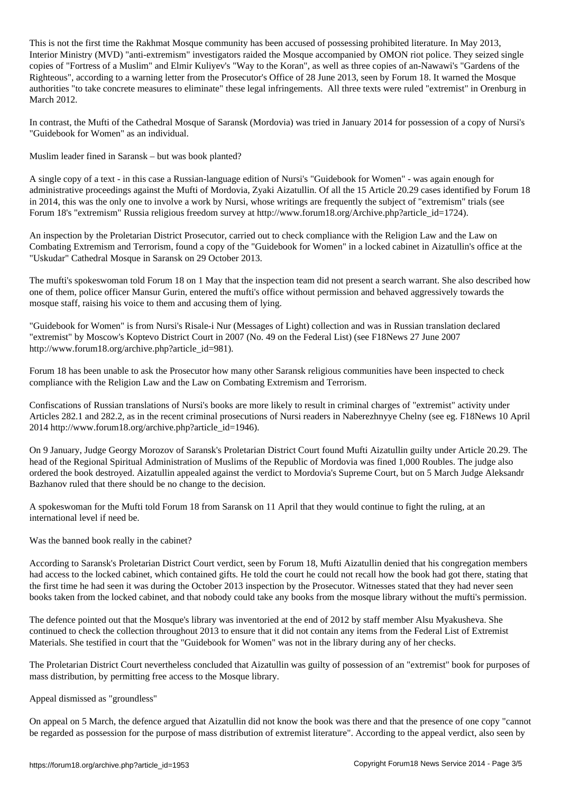This is not time the Rakhmat Mosque community has been accused of possessing problem accused by  $\mathcal{N}$ Interior Ministry (MVD) "anti-extremism" investigators raided the Mosque accompanied by OMON riot police. They seized single copies of "Fortress of a Muslim" and Elmir Kuliyev's "Way to the Koran", as well as three copies of an-Nawawi's "Gardens of the Righteous", according to a warning letter from the Prosecutor's Office of 28 June 2013, seen by Forum 18. It warned the Mosque authorities "to take concrete measures to eliminate" these legal infringements. All three texts were ruled "extremist" in Orenburg in March 2012.

In contrast, the Mufti of the Cathedral Mosque of Saransk (Mordovia) was tried in January 2014 for possession of a copy of Nursi's "Guidebook for Women" as an individual.

Muslim leader fined in Saransk – but was book planted?

A single copy of a text - in this case a Russian-language edition of Nursi's "Guidebook for Women" - was again enough for administrative proceedings against the Mufti of Mordovia, Zyaki Aizatullin. Of all the 15 Article 20.29 cases identified by Forum 18 in 2014, this was the only one to involve a work by Nursi, whose writings are frequently the subject of "extremism" trials (see Forum 18's "extremism" Russia religious freedom survey at http://www.forum18.org/Archive.php?article\_id=1724).

An inspection by the Proletarian District Prosecutor, carried out to check compliance with the Religion Law and the Law on Combating Extremism and Terrorism, found a copy of the "Guidebook for Women" in a locked cabinet in Aizatullin's office at the "Uskudar" Cathedral Mosque in Saransk on 29 October 2013.

The mufti's spokeswoman told Forum 18 on 1 May that the inspection team did not present a search warrant. She also described how one of them, police officer Mansur Gurin, entered the mufti's office without permission and behaved aggressively towards the mosque staff, raising his voice to them and accusing them of lying.

"Guidebook for Women" is from Nursi's Risale-i Nur (Messages of Light) collection and was in Russian translation declared "extremist" by Moscow's Koptevo District Court in 2007 (No. 49 on the Federal List) (see F18News 27 June 2007 http://www.forum18.org/archive.php?article\_id=981).

Forum 18 has been unable to ask the Prosecutor how many other Saransk religious communities have been inspected to check compliance with the Religion Law and the Law on Combating Extremism and Terrorism.

Confiscations of Russian translations of Nursi's books are more likely to result in criminal charges of "extremist" activity under Articles 282.1 and 282.2, as in the recent criminal prosecutions of Nursi readers in Naberezhnyye Chelny (see eg. F18News 10 April 2014 http://www.forum18.org/archive.php?article\_id=1946).

On 9 January, Judge Georgy Morozov of Saransk's Proletarian District Court found Mufti Aizatullin guilty under Article 20.29. The head of the Regional Spiritual Administration of Muslims of the Republic of Mordovia was fined 1,000 Roubles. The judge also ordered the book destroyed. Aizatullin appealed against the verdict to Mordovia's Supreme Court, but on 5 March Judge Aleksandr Bazhanov ruled that there should be no change to the decision.

A spokeswoman for the Mufti told Forum 18 from Saransk on 11 April that they would continue to fight the ruling, at an international level if need be.

Was the banned book really in the cabinet?

According to Saransk's Proletarian District Court verdict, seen by Forum 18, Mufti Aizatullin denied that his congregation members had access to the locked cabinet, which contained gifts. He told the court he could not recall how the book had got there, stating that the first time he had seen it was during the October 2013 inspection by the Prosecutor. Witnesses stated that they had never seen books taken from the locked cabinet, and that nobody could take any books from the mosque library without the mufti's permission.

The defence pointed out that the Mosque's library was inventoried at the end of 2012 by staff member Alsu Myakusheva. She continued to check the collection throughout 2013 to ensure that it did not contain any items from the Federal List of Extremist Materials. She testified in court that the "Guidebook for Women" was not in the library during any of her checks.

The Proletarian District Court nevertheless concluded that Aizatullin was guilty of possession of an "extremist" book for purposes of mass distribution, by permitting free access to the Mosque library.

Appeal dismissed as "groundless"

On appeal on 5 March, the defence argued that Aizatullin did not know the book was there and that the presence of one copy "cannot be regarded as possession for the purpose of mass distribution of extremist literature". According to the appeal verdict, also seen by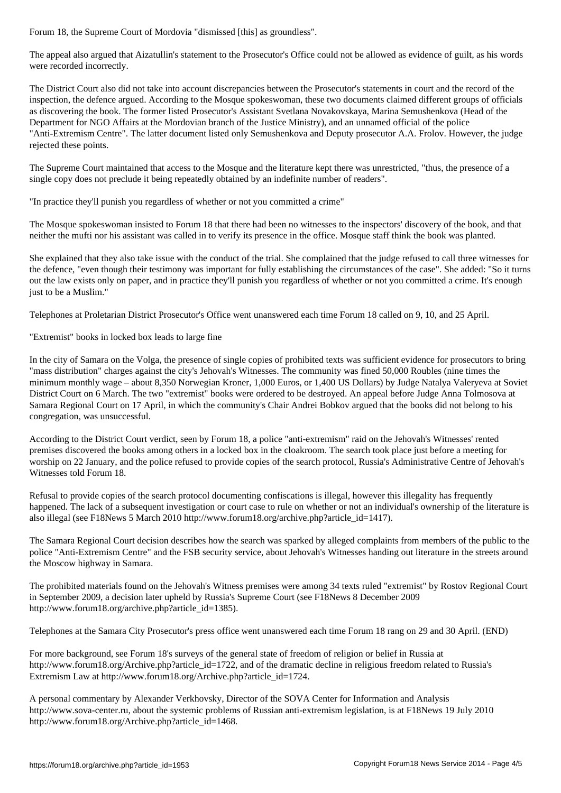The appeal also argued that Aizatullin's statement to the Prosecutor's Office could not be allowed as evidence of guilt, as his words were recorded incorrectly.

The District Court also did not take into account discrepancies between the Prosecutor's statements in court and the record of the inspection, the defence argued. According to the Mosque spokeswoman, these two documents claimed different groups of officials as discovering the book. The former listed Prosecutor's Assistant Svetlana Novakovskaya, Marina Semushenkova (Head of the Department for NGO Affairs at the Mordovian branch of the Justice Ministry), and an unnamed official of the police "Anti-Extremism Centre". The latter document listed only Semushenkova and Deputy prosecutor A.A. Frolov. However, the judge rejected these points.

The Supreme Court maintained that access to the Mosque and the literature kept there was unrestricted, "thus, the presence of a single copy does not preclude it being repeatedly obtained by an indefinite number of readers".

"In practice they'll punish you regardless of whether or not you committed a crime"

The Mosque spokeswoman insisted to Forum 18 that there had been no witnesses to the inspectors' discovery of the book, and that neither the mufti nor his assistant was called in to verify its presence in the office. Mosque staff think the book was planted.

She explained that they also take issue with the conduct of the trial. She complained that the judge refused to call three witnesses for the defence, "even though their testimony was important for fully establishing the circumstances of the case". She added: "So it turns out the law exists only on paper, and in practice they'll punish you regardless of whether or not you committed a crime. It's enough just to be a Muslim."

Telephones at Proletarian District Prosecutor's Office went unanswered each time Forum 18 called on 9, 10, and 25 April.

"Extremist" books in locked box leads to large fine

In the city of Samara on the Volga, the presence of single copies of prohibited texts was sufficient evidence for prosecutors to bring "mass distribution" charges against the city's Jehovah's Witnesses. The community was fined 50,000 Roubles (nine times the minimum monthly wage – about 8,350 Norwegian Kroner, 1,000 Euros, or 1,400 US Dollars) by Judge Natalya Valeryeva at Soviet District Court on 6 March. The two "extremist" books were ordered to be destroyed. An appeal before Judge Anna Tolmosova at Samara Regional Court on 17 April, in which the community's Chair Andrei Bobkov argued that the books did not belong to his congregation, was unsuccessful.

According to the District Court verdict, seen by Forum 18, a police "anti-extremism" raid on the Jehovah's Witnesses' rented premises discovered the books among others in a locked box in the cloakroom. The search took place just before a meeting for worship on 22 January, and the police refused to provide copies of the search protocol, Russia's Administrative Centre of Jehovah's Witnesses told Forum 18.

Refusal to provide copies of the search protocol documenting confiscations is illegal, however this illegality has frequently happened. The lack of a subsequent investigation or court case to rule on whether or not an individual's ownership of the literature is also illegal (see F18News 5 March 2010 http://www.forum18.org/archive.php?article\_id=1417).

The Samara Regional Court decision describes how the search was sparked by alleged complaints from members of the public to the police "Anti-Extremism Centre" and the FSB security service, about Jehovah's Witnesses handing out literature in the streets around the Moscow highway in Samara.

The prohibited materials found on the Jehovah's Witness premises were among 34 texts ruled "extremist" by Rostov Regional Court in September 2009, a decision later upheld by Russia's Supreme Court (see F18News 8 December 2009 http://www.forum18.org/archive.php?article\_id=1385).

Telephones at the Samara City Prosecutor's press office went unanswered each time Forum 18 rang on 29 and 30 April. (END)

For more background, see Forum 18's surveys of the general state of freedom of religion or belief in Russia at http://www.forum18.org/Archive.php?article\_id=1722, and of the dramatic decline in religious freedom related to Russia's Extremism Law at http://www.forum18.org/Archive.php?article\_id=1724.

A personal commentary by Alexander Verkhovsky, Director of the SOVA Center for Information and Analysis http://www.sova-center.ru, about the systemic problems of Russian anti-extremism legislation, is at F18News 19 July 2010 http://www.forum18.org/Archive.php?article\_id=1468.